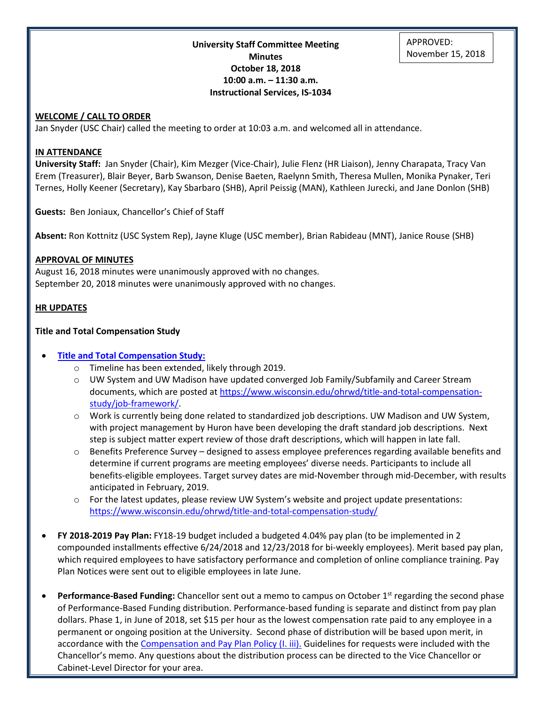**University Staff Committee Meeting Minutes October 18, 2018 10:00 a.m. – 11:30 a.m. Instructional Services, IS-1034**

# **WELCOME / CALL TO ORDER**

Jan Snyder (USC Chair) called the meeting to order at 10:03 a.m. and welcomed all in attendance.

### **IN ATTENDANCE**

**University Staff:** Jan Snyder (Chair), Kim Mezger (Vice-Chair), Julie Flenz (HR Liaison), Jenny Charapata, Tracy Van Erem (Treasurer), Blair Beyer, Barb Swanson, Denise Baeten, Raelynn Smith, Theresa Mullen, Monika Pynaker, Teri Ternes, Holly Keener (Secretary), Kay Sbarbaro (SHB), April Peissig (MAN), Kathleen Jurecki, and Jane Donlon (SHB)

**Guests:** Ben Joniaux, Chancellor's Chief of Staff

**Absent:** Ron Kottnitz (USC System Rep), Jayne Kluge (USC member), Brian Rabideau (MNT), Janice Rouse (SHB)

#### **APPROVAL OF MINUTES**

August 16, 2018 minutes were unanimously approved with no changes. September 20, 2018 minutes were unanimously approved with no changes.

#### **HR UPDATES**

#### **Title and Total Compensation Study**

### • **[Title and Total Compensation Study:](https://www.wisconsin.edu/ohrwd/title-and-total-compensation-study/)**

- o Timeline has been extended, likely through 2019.
- o UW System and UW Madison have updated converged Job Family/Subfamily and Career Stream documents, which are posted at [https://www.wisconsin.edu/ohrwd/title-and-total-compensation](https://www.wisconsin.edu/ohrwd/title-and-total-compensation-study/job-framework/)[study/job-framework/.](https://www.wisconsin.edu/ohrwd/title-and-total-compensation-study/job-framework/)
- o Work is currently being done related to standardized job descriptions. UW Madison and UW System, with project management by Huron have been developing the draft standard job descriptions. Next step is subject matter expert review of those draft descriptions, which will happen in late fall.
- o Benefits Preference Survey designed to assess employee preferences regarding available benefits and determine if current programs are meeting employees' diverse needs. Participants to include all benefits-eligible employees. Target survey dates are mid-November through mid-December, with results anticipated in February, 2019.
- o For the latest updates, please review UW System's website and project update presentations: <https://www.wisconsin.edu/ohrwd/title-and-total-compensation-study/>
- **FY 2018-2019 Pay Plan:** FY18-19 budget included a budgeted 4.04% pay plan (to be implemented in 2 compounded installments effective 6/24/2018 and 12/23/2018 for bi-weekly employees). Merit based pay plan, which required employees to have satisfactory performance and completion of online compliance training. Pay Plan Notices were sent out to eligible employees in late June.
- **Performance-Based Funding:** Chancellor sent out a memo to campus on October 1<sup>st</sup> regarding the second phase of Performance-Based Funding distribution. Performance-based funding is separate and distinct from pay plan dollars. Phase 1, in June of 2018, set \$15 per hour as the lowest compensation rate paid to any employee in a permanent or ongoing position at the University. Second phase of distribution will be based upon merit, in accordance with the [Compensation and Pay Plan Policy \(I. iii\).](http://www.uwgb.edu/UWGBCMS/media/policies/files/Comp-and-Pay-Plan-Policy-Final.pdf?ext=.pdf) Guidelines for requests were included with the Chancellor's memo. Any questions about the distribution process can be directed to the Vice Chancellor or Cabinet-Level Director for your area.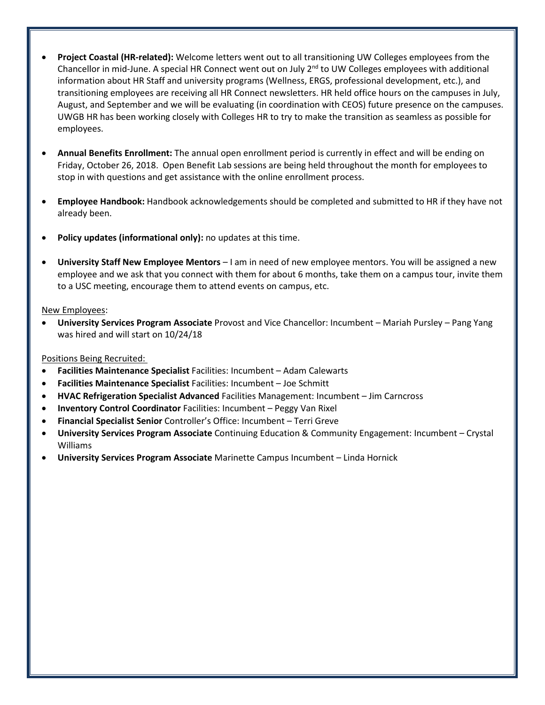- **Project Coastal (HR-related):** Welcome letters went out to all transitioning UW Colleges employees from the Chancellor in mid-June. A special HR Connect went out on July 2<sup>nd</sup> to UW Colleges employees with additional information about HR Staff and university programs (Wellness, ERGS, professional development, etc.), and transitioning employees are receiving all HR Connect newsletters. HR held office hours on the campuses in July, August, and September and we will be evaluating (in coordination with CEOS) future presence on the campuses. UWGB HR has been working closely with Colleges HR to try to make the transition as seamless as possible for employees.
- **Annual Benefits Enrollment:** The annual open enrollment period is currently in effect and will be ending on Friday, October 26, 2018. Open Benefit Lab sessions are being held throughout the month for employees to stop in with questions and get assistance with the online enrollment process.
- **Employee Handbook:** Handbook acknowledgements should be completed and submitted to HR if they have not already been.
- **Policy updates (informational only):** no updates at this time.
- **University Staff New Employee Mentors** I am in need of new employee mentors. You will be assigned a new employee and we ask that you connect with them for about 6 months, take them on a campus tour, invite them to a USC meeting, encourage them to attend events on campus, etc.

## New Employees:

• **University Services Program Associate** Provost and Vice Chancellor: Incumbent – Mariah Pursley – Pang Yang was hired and will start on 10/24/18

# Positions Being Recruited:

- **Facilities Maintenance Specialist** Facilities: Incumbent Adam Calewarts
- **Facilities Maintenance Specialist** Facilities: Incumbent Joe Schmitt
- **HVAC Refrigeration Specialist Advanced** Facilities Management: Incumbent Jim Carncross
- **Inventory Control Coordinator** Facilities: Incumbent Peggy Van Rixel
- **Financial Specialist Senior** Controller's Office: Incumbent Terri Greve
- **University Services Program Associate** Continuing Education & Community Engagement: Incumbent Crystal Williams
- **University Services Program Associate** Marinette Campus Incumbent Linda Hornick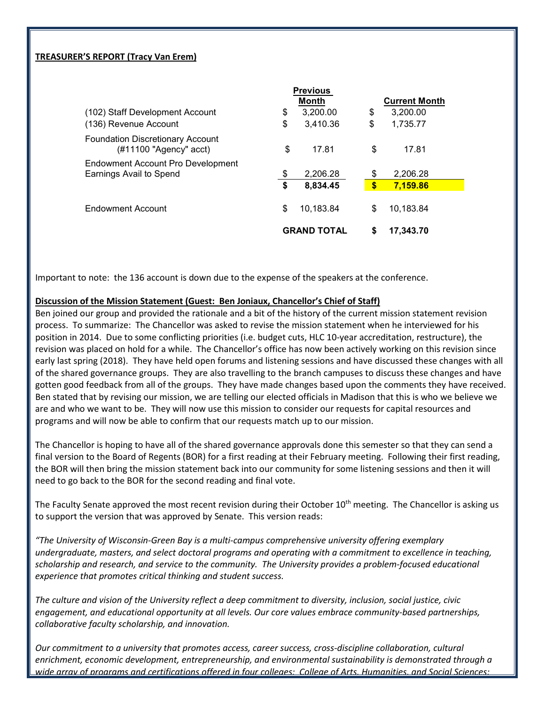# **TREASURER'S REPORT (Tracy Van Erem)**

|                                                                      |                    | <b>Previous</b> |    |                      |  |
|----------------------------------------------------------------------|--------------------|-----------------|----|----------------------|--|
|                                                                      |                    | <b>Month</b>    |    | <b>Current Month</b> |  |
| (102) Staff Development Account                                      | \$                 | 3,200.00        | \$ | 3,200.00             |  |
| (136) Revenue Account                                                | \$                 | 3,410.36        | \$ | 1,735.77             |  |
| <b>Foundation Discretionary Account</b><br>$(\#11100$ "Agency" acct) | \$                 | 17.81           | \$ | 17.81                |  |
| <b>Endowment Account Pro Development</b><br>Earnings Avail to Spend  | \$                 | 2,206.28        | \$ | 2,206.28             |  |
|                                                                      | \$                 | 8,834.45        | \$ | 7,159.86             |  |
| Endowment Account                                                    | \$                 | 10,183.84       | \$ | 10,183.84            |  |
|                                                                      | <b>GRAND TOTAL</b> |                 | S  | 17.343.70            |  |

Important to note: the 136 account is down due to the expense of the speakers at the conference.

## **Discussion of the Mission Statement (Guest: Ben Joniaux, Chancellor's Chief of Staff)**

Ben joined our group and provided the rationale and a bit of the history of the current mission statement revision process. To summarize: The Chancellor was asked to revise the mission statement when he interviewed for his position in 2014. Due to some conflicting priorities (i.e. budget cuts, HLC 10-year accreditation, restructure), the revision was placed on hold for a while. The Chancellor's office has now been actively working on this revision since early last spring (2018). They have held open forums and listening sessions and have discussed these changes with all of the shared governance groups. They are also travelling to the branch campuses to discuss these changes and have gotten good feedback from all of the groups. They have made changes based upon the comments they have received. Ben stated that by revising our mission, we are telling our elected officials in Madison that this is who we believe we are and who we want to be. They will now use this mission to consider our requests for capital resources and programs and will now be able to confirm that our requests match up to our mission.

The Chancellor is hoping to have all of the shared governance approvals done this semester so that they can send a final version to the Board of Regents (BOR) for a first reading at their February meeting. Following their first reading, the BOR will then bring the mission statement back into our community for some listening sessions and then it will need to go back to the BOR for the second reading and final vote.

The Faculty Senate approved the most recent revision during their October 10<sup>th</sup> meeting. The Chancellor is asking us to support the version that was approved by Senate. This version reads:

*"The University of Wisconsin-Green Bay is a multi-campus comprehensive university offering exemplary undergraduate, masters, and select doctoral programs and operating with a commitment to excellence in teaching, scholarship and research, and service to the community. The University provides a problem-focused educational experience that promotes critical thinking and student success.* 

*The culture and vision of the University reflect a deep commitment to diversity, inclusion, social justice, civic engagement, and educational opportunity at all levels. Our core values embrace community-based partnerships, collaborative faculty scholarship, and innovation.* 

*Our commitment to a university that promotes access, career success, cross-discipline collaboration, cultural enrichment, economic development, entrepreneurship, and environmental sustainability is demonstrated through a wide array of programs and certifications offered in four colleges: College of Arts, Humanities, and Social Sciences;*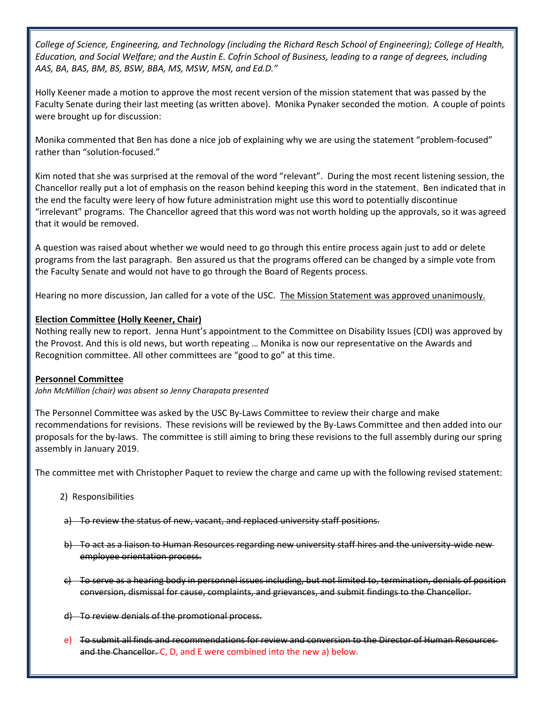*College of Science, Engineering, and Technology (including the Richard Resch School of Engineering); College of Health, Education, and Social Welfare; and the Austin E. Cofrin School of Business, leading to a range of degrees, including AAS, BA, BAS, BM, BS, BSW, BBA, MS, MSW, MSN, and Ed.D."*

Holly Keener made a motion to approve the most recent version of the mission statement that was passed by the Faculty Senate during their last meeting (as written above). Monika Pynaker seconded the motion. A couple of points were brought up for discussion:

Monika commented that Ben has done a nice job of explaining why we are using the statement "problem-focused" rather than "solution-focused."

Kim noted that she was surprised at the removal of the word "relevant". During the most recent listening session, the Chancellor really put a lot of emphasis on the reason behind keeping this word in the statement. Ben indicated that in the end the faculty were leery of how future administration might use this word to potentially discontinue "irrelevant" programs. The Chancellor agreed that this word was not worth holding up the approvals, so it was agreed that it would be removed.

A question was raised about whether we would need to go through this entire process again just to add or delete programs from the last paragraph. Ben assured us that the programs offered can be changed by a simple vote from the Faculty Senate and would not have to go through the Board of Regents process.

Hearing no more discussion, Jan called for a vote of the USC. The Mission Statement was approved unanimously.

# **Election Committee (Holly Keener, Chair)**

Nothing really new to report. Jenna Hunt's appointment to the Committee on Disability Issues (CDI) was approved by the Provost. And this is old news, but worth repeating … Monika is now our representative on the Awards and Recognition committee. All other committees are "good to go" at this time.

# **Personnel Committee**

*John McMillion (chair) was absent so Jenny Charapata presented*

The Personnel Committee was asked by the USC By-Laws Committee to review their charge and make recommendations for revisions. These revisions will be reviewed by the By-Laws Committee and then added into our proposals for the by-laws. The committee is still aiming to bring these revisions to the full assembly during our spring assembly in January 2019.

The committee met with Christopher Paquet to review the charge and came up with the following revised statement:

- 2) Responsibilities
- a) To review the status of new, vacant, and replaced university staff positions.
- b) To act as a liaison to Human Resources regarding new university staff hires and the university-wide new employee orientation process.
- c) To serve as a hearing body in personnel issues including, but not limited to, termination, denials of position conversion, dismissal for cause, complaints, and grievances, and submit findings to the Chancellor.
- d) To review denials of the promotional process.
- e) To submit all finds and recommendations for review and conversion to the Director of Human Resources and the Chancellor. C, D, and E were combined into the new a) below.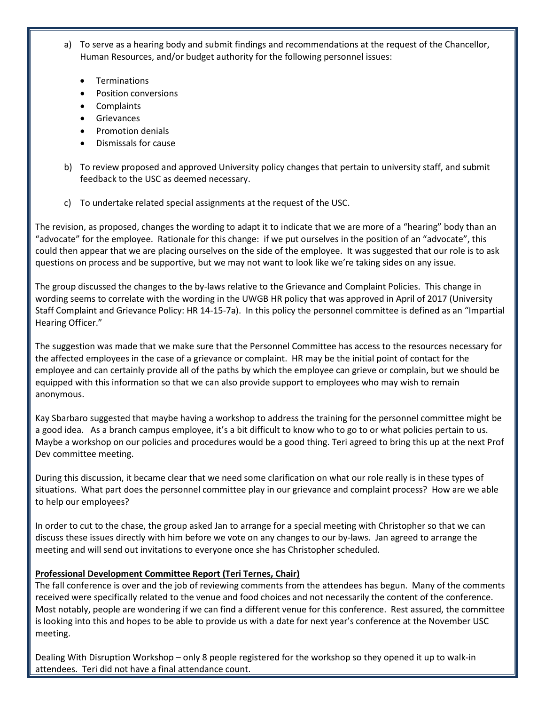a) To serve as a hearing body and submit findings and recommendations at the request of the Chancellor, Human Resources, and/or budget authority for the following personnel issues:

- **Terminations**
- Position conversions
- Complaints
- Grievances
- Promotion denials
- Dismissals for cause
- b) To review proposed and approved University policy changes that pertain to university staff, and submit feedback to the USC as deemed necessary.
- c) To undertake related special assignments at the request of the USC.

The revision, as proposed, changes the wording to adapt it to indicate that we are more of a "hearing" body than an "advocate" for the employee. Rationale for this change: if we put ourselves in the position of an "advocate", this could then appear that we are placing ourselves on the side of the employee. It was suggested that our role is to ask questions on process and be supportive, but we may not want to look like we're taking sides on any issue.

The group discussed the changes to the by-laws relative to the Grievance and Complaint Policies. This change in wording seems to correlate with the wording in the UWGB HR policy that was approved in April of 2017 (University Staff Complaint and Grievance Policy: HR 14-15-7a). In this policy the personnel committee is defined as an "Impartial Hearing Officer."

The suggestion was made that we make sure that the Personnel Committee has access to the resources necessary for the affected employees in the case of a grievance or complaint. HR may be the initial point of contact for the employee and can certainly provide all of the paths by which the employee can grieve or complain, but we should be equipped with this information so that we can also provide support to employees who may wish to remain anonymous.

Kay Sbarbaro suggested that maybe having a workshop to address the training for the personnel committee might be a good idea. As a branch campus employee, it's a bit difficult to know who to go to or what policies pertain to us. Maybe a workshop on our policies and procedures would be a good thing. Teri agreed to bring this up at the next Prof Dev committee meeting.

During this discussion, it became clear that we need some clarification on what our role really is in these types of situations. What part does the personnel committee play in our grievance and complaint process? How are we able to help our employees?

In order to cut to the chase, the group asked Jan to arrange for a special meeting with Christopher so that we can discuss these issues directly with him before we vote on any changes to our by-laws. Jan agreed to arrange the meeting and will send out invitations to everyone once she has Christopher scheduled.

# **Professional Development Committee Report (Teri Ternes, Chair)**

The fall conference is over and the job of reviewing comments from the attendees has begun. Many of the comments received were specifically related to the venue and food choices and not necessarily the content of the conference. Most notably, people are wondering if we can find a different venue for this conference. Rest assured, the committee is looking into this and hopes to be able to provide us with a date for next year's conference at the November USC meeting.

Dealing With Disruption Workshop – only 8 people registered for the workshop so they opened it up to walk-in attendees. Teri did not have a final attendance count.